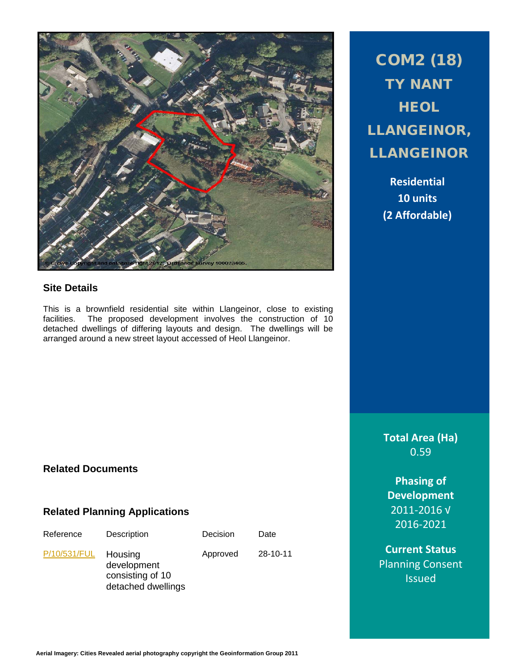

## **Site Details**

This is a brownfield residential site within Llangeinor, close to existing facilities. The proposed development involves the construction of 10 detached dwellings of differing layouts and design. The dwellings will be arranged around a new street layout accessed of Heol Llangeinor.

COM2 (18) TY NANT **HEOL** LLANGEINOR, LLANGEINOR

> **Residential 10 units (2 Affordable)**

**Total Area (Ha)** 0.59

**Phasing of Development** 2011-2016 √ 2016-2021

**Current Status** Planning Consent **Issued** 

# **Related Documents**

### **Related Planning Applications**

| Reference    | Description                                                      | Decision | Date     |
|--------------|------------------------------------------------------------------|----------|----------|
| P/10/531/FUL | Housing<br>development<br>consisting of 10<br>detached dwellings | Approved | 28-10-11 |